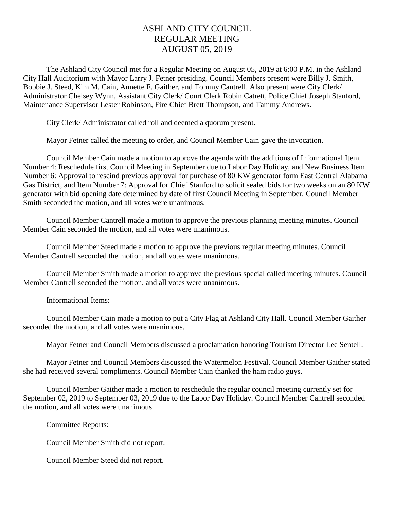## ASHLAND CITY COUNCIL REGULAR MEETING AUGUST 05, 2019

The Ashland City Council met for a Regular Meeting on August 05, 2019 at 6:00 P.M. in the Ashland City Hall Auditorium with Mayor Larry J. Fetner presiding. Council Members present were Billy J. Smith, Bobbie J. Steed, Kim M. Cain, Annette F. Gaither, and Tommy Cantrell. Also present were City Clerk/ Administrator Chelsey Wynn, Assistant City Clerk/ Court Clerk Robin Catrett, Police Chief Joseph Stanford, Maintenance Supervisor Lester Robinson, Fire Chief Brett Thompson, and Tammy Andrews.

City Clerk/ Administrator called roll and deemed a quorum present.

Mayor Fetner called the meeting to order, and Council Member Cain gave the invocation.

Council Member Cain made a motion to approve the agenda with the additions of Informational Item Number 4: Reschedule first Council Meeting in September due to Labor Day Holiday, and New Business Item Number 6: Approval to rescind previous approval for purchase of 80 KW generator form East Central Alabama Gas District, and Item Number 7: Approval for Chief Stanford to solicit sealed bids for two weeks on an 80 KW generator with bid opening date determined by date of first Council Meeting in September. Council Member Smith seconded the motion, and all votes were unanimous.

Council Member Cantrell made a motion to approve the previous planning meeting minutes. Council Member Cain seconded the motion, and all votes were unanimous.

Council Member Steed made a motion to approve the previous regular meeting minutes. Council Member Cantrell seconded the motion, and all votes were unanimous.

Council Member Smith made a motion to approve the previous special called meeting minutes. Council Member Cantrell seconded the motion, and all votes were unanimous.

Informational Items:

Council Member Cain made a motion to put a City Flag at Ashland City Hall. Council Member Gaither seconded the motion, and all votes were unanimous.

Mayor Fetner and Council Members discussed a proclamation honoring Tourism Director Lee Sentell.

Mayor Fetner and Council Members discussed the Watermelon Festival. Council Member Gaither stated she had received several compliments. Council Member Cain thanked the ham radio guys.

Council Member Gaither made a motion to reschedule the regular council meeting currently set for September 02, 2019 to September 03, 2019 due to the Labor Day Holiday. Council Member Cantrell seconded the motion, and all votes were unanimous.

Committee Reports:

Council Member Smith did not report.

Council Member Steed did not report.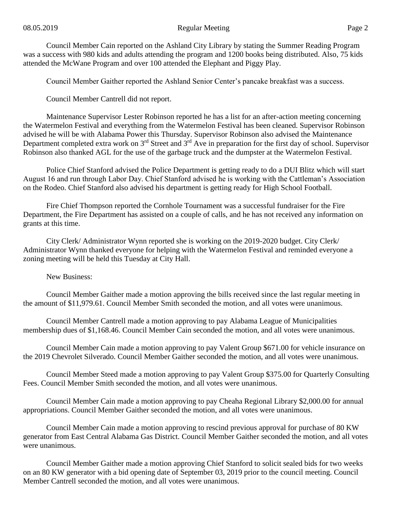Council Member Cain reported on the Ashland City Library by stating the Summer Reading Program was a success with 980 kids and adults attending the program and 1200 books being distributed. Also, 75 kids attended the McWane Program and over 100 attended the Elephant and Piggy Play.

Council Member Gaither reported the Ashland Senior Center's pancake breakfast was a success.

Council Member Cantrell did not report.

Maintenance Supervisor Lester Robinson reported he has a list for an after-action meeting concerning the Watermelon Festival and everything from the Watermelon Festival has been cleaned. Supervisor Robinson advised he will be with Alabama Power this Thursday. Supervisor Robinson also advised the Maintenance Department completed extra work on 3<sup>rd</sup> Street and 3<sup>rd</sup> Ave in preparation for the first day of school. Supervisor Robinson also thanked AGL for the use of the garbage truck and the dumpster at the Watermelon Festival.

Police Chief Stanford advised the Police Department is getting ready to do a DUI Blitz which will start August 16 and run through Labor Day. Chief Stanford advised he is working with the Cattleman's Association on the Rodeo. Chief Stanford also advised his department is getting ready for High School Football.

Fire Chief Thompson reported the Cornhole Tournament was a successful fundraiser for the Fire Department, the Fire Department has assisted on a couple of calls, and he has not received any information on grants at this time.

City Clerk/ Administrator Wynn reported she is working on the 2019-2020 budget. City Clerk/ Administrator Wynn thanked everyone for helping with the Watermelon Festival and reminded everyone a zoning meeting will be held this Tuesday at City Hall.

New Business:

Council Member Gaither made a motion approving the bills received since the last regular meeting in the amount of \$11,979.61. Council Member Smith seconded the motion, and all votes were unanimous.

Council Member Cantrell made a motion approving to pay Alabama League of Municipalities membership dues of \$1,168.46. Council Member Cain seconded the motion, and all votes were unanimous.

Council Member Cain made a motion approving to pay Valent Group \$671.00 for vehicle insurance on the 2019 Chevrolet Silverado. Council Member Gaither seconded the motion, and all votes were unanimous.

Council Member Steed made a motion approving to pay Valent Group \$375.00 for Quarterly Consulting Fees. Council Member Smith seconded the motion, and all votes were unanimous.

Council Member Cain made a motion approving to pay Cheaha Regional Library \$2,000.00 for annual appropriations. Council Member Gaither seconded the motion, and all votes were unanimous.

Council Member Cain made a motion approving to rescind previous approval for purchase of 80 KW generator from East Central Alabama Gas District. Council Member Gaither seconded the motion, and all votes were unanimous.

Council Member Gaither made a motion approving Chief Stanford to solicit sealed bids for two weeks on an 80 KW generator with a bid opening date of September 03, 2019 prior to the council meeting. Council Member Cantrell seconded the motion, and all votes were unanimous.